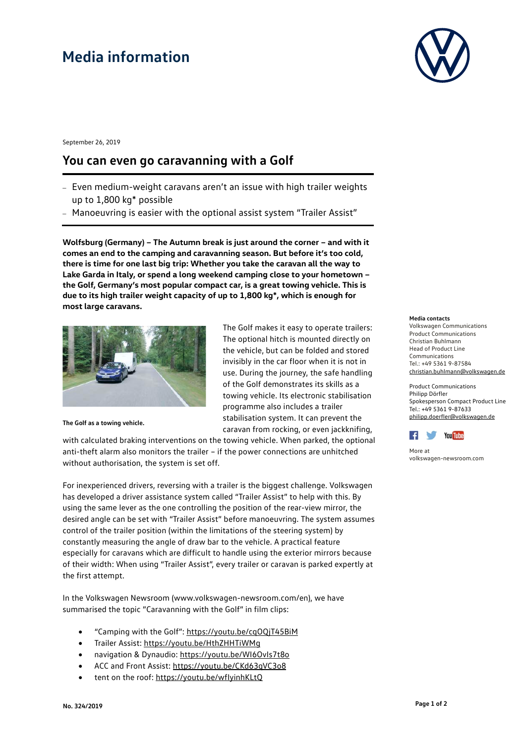## **Media information**

September 26, 2019

### **You can even go caravanning with a Golf**

- Even medium-weight caravans aren't an issue with high trailer weights up to 1,800 kg\* possible
- Manoeuvring is easier with the optional assist system "Trailer Assist"

**Wolfsburg (Germany) – The Autumn break is just around the corner – and with it comes an end to the camping and caravanning season. But before it's too cold, there is time for one last big trip: Whether you take the caravan all the way to Lake Garda in Italy, or spend a long weekend camping close to your hometown – the Golf, Germany's most popular compact car, is a great towing vehicle. This is due to its high trailer weight capacity of up to 1,800 kg\*, which is enough for most large caravans.** 



**The Golf as a towing vehicle.**

The Golf makes it easy to operate trailers: The optional hitch is mounted directly on the vehicle, but can be folded and stored invisibly in the car floor when it is not in use. During the journey, the safe handling of the Golf demonstrates its skills as a towing vehicle. Its electronic stabilisation programme also includes a trailer stabilisation system. It can prevent the caravan from rocking, or even jackknifing,

with calculated braking interventions on the towing vehicle. When parked, the optional anti-theft alarm also monitors the trailer – if the power connections are unhitched without authorisation, the system is set off.

For inexperienced drivers, reversing with a trailer is the biggest challenge. Volkswagen has developed a driver assistance system called "Trailer Assist" to help with this. By using the same lever as the one controlling the position of the rear-view mirror, the desired angle can be set with "Trailer Assist" before manoeuvring. The system assumes control of the trailer position (within the limitations of the steering system) by constantly measuring the angle of draw bar to the vehicle. A practical feature especially for caravans which are difficult to handle using the exterior mirrors because of their width: When using "Trailer Assist", every trailer or caravan is parked expertly at the first attempt.

In the Volkswagen Newsroom (www.volkswagen-newsroom.com/en), we have summarised the topic "Caravanning with the Golf" in film clips:

- "Camping with the Golf":<https://youtu.be/cqOQjT45BiM>
- Trailer Assist:<https://youtu.be/HthZHHTiWMg>
- navigation & Dynaudio:<https://youtu.be/WI6OvIs7t8o>
- ACC and Front Assist:<https://youtu.be/CKd63qVC3o8>
- tent on the roof: https://youtu.be/wflyinhKLtQ



#### **Media contacts**

Volkswagen Communications Product Communications Christian Buhlmann Head of Product Line Communications Tel.: +49 5361 9-87584 [christian.buhlmann@volkswagen.de](mailto:christian.buhlmann@volkswagen.de)

Product Communications Philipp Dörfler Spokesperson Compact Product Line Tel.: +49 5361 9-87633 [philipp.doerfler@volkswagen.de](mailto:philipp.doerfler@volkswagen.de)



More at [volkswagen-newsroom.com](https://www.volkswagen-media-services.com/)